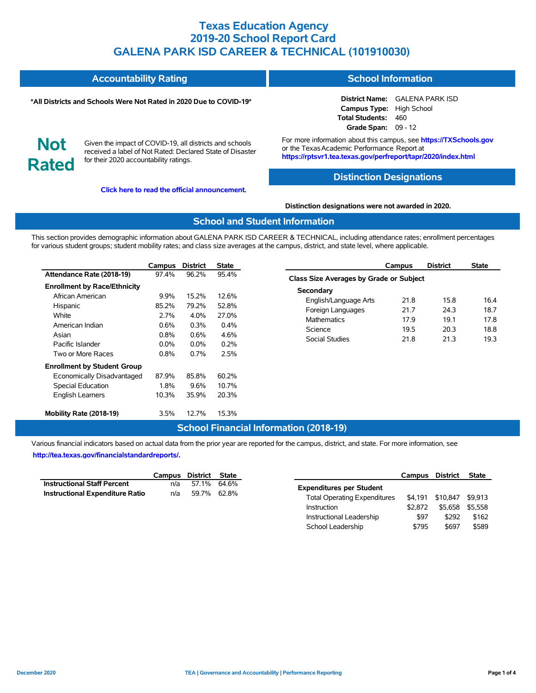| <b>Accountability Rating</b> | <b>School Information</b> |
|------------------------------|---------------------------|
|------------------------------|---------------------------|

#### **\*All Districts and Schools Were Not Rated in 2020 Due to COVID-19\***

# **District Name:** GALENA PARK ISD

**Campus Type:** High School **Total Students:** 460 **Grade Span:** 09 - 12

**Not Rated**

Given the impact of COVID-19, all districts and schools received a label of Not Rated: Declared State of Disaster for their 2020 accountability ratings.

**[Click here to read the official announcement.](https://tea.texas.gov/about-tea/news-and-multimedia/correspondence/taa-letters/every-student-succeeds-act-essa-waiver-approval-2020-state-academic-accountability)**

For more information about this campus, see **https://TXSchools.gov** or the TexasAcademic Performance Report at **https://rptsvr1.tea.texas.gov/perfreport/tapr/2020/index.html**

### **Distinction Designations**

#### **Distinction designations were not awarded in 2020.**

#### **School and Student Information**

This section provides demographic information about GALENA PARK ISD CAREER & TECHNICAL, including attendance rates; enrollment percentages for various student groups; student mobility rates; and class size averages at the campus, district, and state level, where applicable.

|                                     | Campus  | <b>District</b> | <b>State</b> |
|-------------------------------------|---------|-----------------|--------------|
| Attendance Rate (2018-19)           | 97.4%   | 96.2%           | 95.4%        |
| <b>Enrollment by Race/Ethnicity</b> |         |                 |              |
| African American                    | $9.9\%$ | 15.2%           | 12.6%        |
| Hispanic                            | 85.2%   | 79.2%           | 52.8%        |
| White                               | 2.7%    | $4.0\%$         | 27.0%        |
| American Indian                     | 0.6%    | $0.3\%$         | 0.4%         |
| Asian                               | $0.8\%$ | $0.6\%$         | 4.6%         |
| Pacific Islander                    | $0.0\%$ | $0.0\%$         | 0.2%         |
| Two or More Races                   | 0.8%    | 0.7%            | 2.5%         |
| <b>Enrollment by Student Group</b>  |         |                 |              |
| Economically Disadvantaged          | 87.9%   | 85.8%           | 60.2%        |
| <b>Special Education</b>            | 1.8%    | $9.6\%$         | 10.7%        |
| <b>English Learners</b>             | 10.3%   | 35.9%           | 20.3%        |
| Mobility Rate (2018-19)             | 3.5%    | 12.7%           | 15.3%        |

|                                         | Campus | <b>District</b> | <b>State</b> |  |  |  |  |  |  |
|-----------------------------------------|--------|-----------------|--------------|--|--|--|--|--|--|
| Class Size Averages by Grade or Subject |        |                 |              |  |  |  |  |  |  |
| Secondary                               |        |                 |              |  |  |  |  |  |  |
| English/Language Arts                   | 21.8   | 15.8            | 16.4         |  |  |  |  |  |  |
| Foreign Languages                       | 21.7   | 24.3            | 18.7         |  |  |  |  |  |  |
| <b>Mathematics</b>                      | 179    | 191             | 17.8         |  |  |  |  |  |  |
| Science                                 | 19.5   | 20.3            | 18.8         |  |  |  |  |  |  |
| Social Studies                          | 21.8   | 21.3            | 19.3         |  |  |  |  |  |  |
|                                         |        |                 |              |  |  |  |  |  |  |

### **School Financial Information (2018-19)**

Various financial indicators based on actual data from the prior year are reported for the campus, district, and state. For more information, see **[http://tea.texas.gov/financialstandardreports/.](http://tea.texas.gov/financialstandardreports/)**

|                                        | Campus District State |             |  |
|----------------------------------------|-----------------------|-------------|--|
| <b>Instructional Staff Percent</b>     | n/a                   | 57.1% 64.6% |  |
| <b>Instructional Expenditure Ratio</b> | n/a                   | 59.7% 62.8% |  |

|                                     | Campus  | District | <b>State</b> |
|-------------------------------------|---------|----------|--------------|
| <b>Expenditures per Student</b>     |         |          |              |
| <b>Total Operating Expenditures</b> | \$4.191 | \$10,847 | \$9.913      |
| Instruction                         | \$2.872 | \$5.658  | \$5.558      |
| Instructional Leadership            | \$97    | \$292    | \$162        |
| School Leadership                   | \$795   | \$697    | \$589        |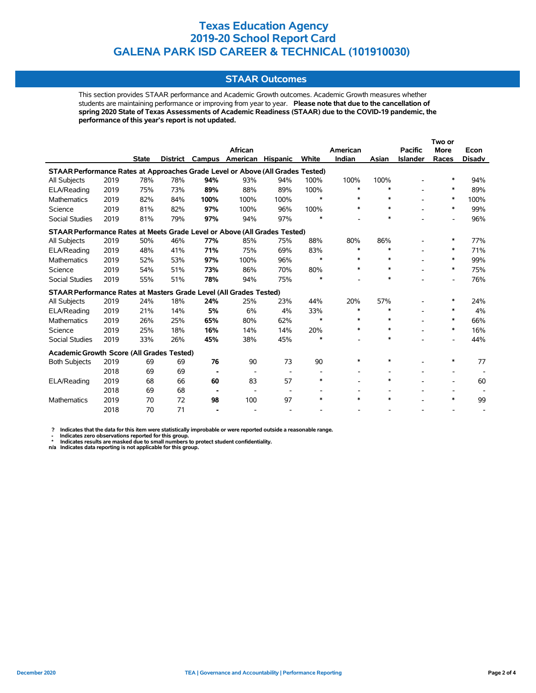## **STAAR Outcomes**

This section provides STAAR performance and Academic Growth outcomes. Academic Growth measures whether students are maintaining performance or improving from year to year. **Please note that due to the cancellation of spring 2020 State of Texas Assessments of Academic Readiness (STAAR) due to the COVID-19 pandemic, the performance of this year's report is not updated.**

|                                                                                |      |              |     |                 |                          |                          |                          |          |        |                 | Two or         |               |
|--------------------------------------------------------------------------------|------|--------------|-----|-----------------|--------------------------|--------------------------|--------------------------|----------|--------|-----------------|----------------|---------------|
|                                                                                |      |              |     |                 | African                  |                          |                          | American |        | <b>Pacific</b>  | <b>More</b>    | Econ          |
|                                                                                |      | <b>State</b> |     | District Campus | American                 | <b>Hispanic</b>          | White                    | Indian   | Asian  | <b>Islander</b> | Races          | <b>Disadv</b> |
| STAAR Performance Rates at Approaches Grade Level or Above (All Grades Tested) |      |              |     |                 |                          |                          |                          |          |        |                 |                |               |
| All Subjects                                                                   | 2019 | 78%          | 78% | 94%             | 93%                      | 94%                      | 100%                     | 100%     | 100%   |                 | *              | 94%           |
| ELA/Reading                                                                    | 2019 | 75%          | 73% | 89%             | 88%                      | 89%                      | 100%                     | *        | $\ast$ |                 | $\ast$         | 89%           |
| Mathematics                                                                    | 2019 | 82%          | 84% | 100%            | 100%                     | 100%                     | $\ast$                   | *        | $\ast$ |                 | *              | 100%          |
| Science                                                                        | 2019 | 81%          | 82% | 97%             | 100%                     | 96%                      | 100%                     | $\ast$   | $\ast$ |                 | *              | 99%           |
| <b>Social Studies</b>                                                          | 2019 | 81%          | 79% | 97%             | 94%                      | 97%                      | $\ast$                   |          | *      |                 |                | 96%           |
| STAAR Performance Rates at Meets Grade Level or Above (All Grades Tested)      |      |              |     |                 |                          |                          |                          |          |        |                 |                |               |
| All Subjects                                                                   | 2019 | 50%          | 46% | 77%             | 85%                      | 75%                      | 88%                      | 80%      | 86%    |                 | ∗              | 77%           |
| ELA/Reading                                                                    | 2019 | 48%          | 41% | 71%             | 75%                      | 69%                      | 83%                      | $\ast$   | *      |                 | *              | 71%           |
| <b>Mathematics</b>                                                             | 2019 | 52%          | 53% | 97%             | 100%                     | 96%                      | $\ast$                   | $\ast$   | $\ast$ |                 | *              | 99%           |
| Science                                                                        | 2019 | 54%          | 51% | 73%             | 86%                      | 70%                      | 80%                      | $\ast$   | $\ast$ |                 | $\ast$         | 75%           |
| <b>Social Studies</b>                                                          | 2019 | 55%          | 51% | 78%             | 94%                      | 75%                      | *                        |          | $\ast$ |                 |                | 76%           |
| STAAR Performance Rates at Masters Grade Level (All Grades Tested)             |      |              |     |                 |                          |                          |                          |          |        |                 |                |               |
| All Subjects                                                                   | 2019 | 24%          | 18% | 24%             | 25%                      | 23%                      | 44%                      | 20%      | 57%    |                 | ∗              | 24%           |
| ELA/Reading                                                                    | 2019 | 21%          | 14% | 5%              | 6%                       | 4%                       | 33%                      | *        | $\ast$ |                 | $\ast$         | 4%            |
| <b>Mathematics</b>                                                             | 2019 | 26%          | 25% | 65%             | 80%                      | 62%                      | $\ast$                   | $*$      | $\ast$ |                 | *              | 66%           |
| Science                                                                        | 2019 | 25%          | 18% | 16%             | 14%                      | 14%                      | 20%                      | $\ast$   | $\ast$ |                 | *              | 16%           |
| <b>Social Studies</b>                                                          | 2019 | 33%          | 26% | 45%             | 38%                      | 45%                      | $\ast$                   |          | $\ast$ |                 |                | 44%           |
| Academic Growth Score (All Grades Tested)                                      |      |              |     |                 |                          |                          |                          |          |        |                 |                |               |
| <b>Both Subjects</b>                                                           | 2019 | 69           | 69  | 76              | 90                       | 73                       | 90                       | *        | $\ast$ |                 | $\ast$         | 77            |
|                                                                                | 2018 | 69           | 69  | ٠               | $\overline{\phantom{a}}$ | $\overline{\phantom{a}}$ | $\overline{\phantom{a}}$ |          |        |                 | $\blacksquare$ |               |
| ELA/Reading                                                                    | 2019 | 68           | 66  | 60              | 83                       | 57                       | $\ast$                   |          | $\ast$ |                 |                | 60            |
|                                                                                | 2018 | 69           | 68  |                 |                          |                          |                          |          |        |                 |                |               |
| <b>Mathematics</b>                                                             | 2019 | 70           | 72  | 98              | 100                      | 97                       | $\ast$                   | $\ast$   | $\ast$ |                 | *              | 99            |
|                                                                                | 2018 | 70           | 71  |                 |                          |                          |                          |          |        |                 |                |               |

 **? Indicates that the data for this item were statistically improbable or were reported outside a reasonable range.**

 **- Indicates zero observations reported for this group. \* Indicates results are masked due to small numbers to protect student confidentiality.**

**n/a Indicates data reporting is not applicable for this group.**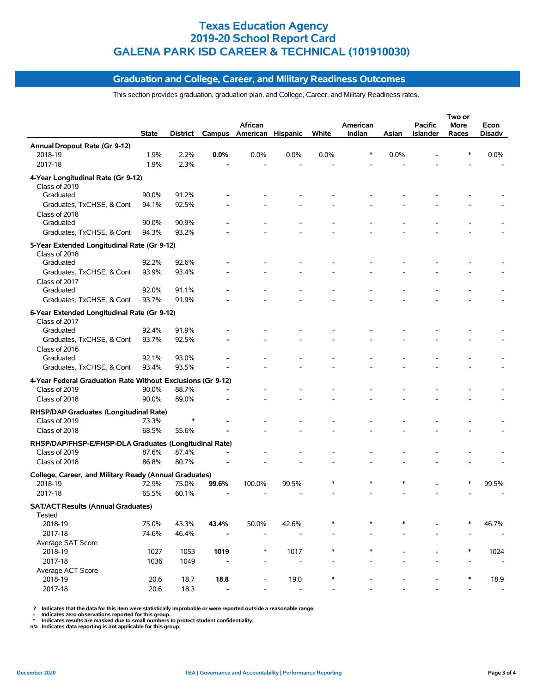## **Graduation and College, Career, and Military Readiness Outcomes**

This section provides graduation, graduation plan, and College, Career, and Military Readiness rates.

|                                                             |              |              |        |                              |                          |        |                    |        |                | Two or        |        |
|-------------------------------------------------------------|--------------|--------------|--------|------------------------------|--------------------------|--------|--------------------|--------|----------------|---------------|--------|
|                                                             | State        |              | Campus | African<br>American Hispanic |                          | White  | American<br>Indian |        | <b>Pacific</b> | More<br>Races | Econ   |
|                                                             |              | District     |        |                              |                          |        |                    | Asian  | Islander       |               | Disadv |
| Annual Dropout Rate (Gr 9-12)                               |              |              |        |                              |                          |        |                    |        |                |               |        |
| 2018-19                                                     | 1.9%<br>1.9% | 2.2%<br>2.3% | 0.0%   | 0.0%                         | 0.0%                     | 0.0%   |                    | 0.0%   |                |               | 0.0%   |
| 2017-18                                                     |              |              |        |                              |                          |        |                    |        |                |               |        |
| 4-Year Longitudinal Rate (Gr 9-12)                          |              |              |        |                              |                          |        |                    |        |                |               |        |
| Class of 2019                                               |              |              |        |                              |                          |        |                    |        |                |               |        |
| Graduated                                                   | 90.0%        | 91.2%        |        |                              |                          |        |                    |        |                |               |        |
| Graduates, TxCHSE, & Cont                                   | 94.1%        | 92.5%        |        |                              |                          |        |                    |        |                |               |        |
| Class of 2018<br>Graduated                                  | 90.0%        | 90.9%        |        |                              |                          |        |                    |        |                |               |        |
| Graduates, TxCHSE, & Cont                                   | 94.3%        | 93.2%        |        |                              |                          |        |                    |        |                |               |        |
|                                                             |              |              |        |                              |                          |        |                    |        |                |               |        |
| 5-Year Extended Longitudinal Rate (Gr 9-12)                 |              |              |        |                              |                          |        |                    |        |                |               |        |
| Class of 2018<br>Graduated                                  | 92.2%        | 92.6%        |        |                              |                          |        |                    |        |                |               |        |
|                                                             | 93.9%        | 93.4%        |        |                              |                          |        |                    |        |                |               |        |
| Graduates, TxCHSE, & Cont<br>Class of 2017                  |              |              |        |                              |                          |        |                    |        |                |               |        |
| Graduated                                                   | 92.0%        | 91.1%        |        |                              |                          |        |                    |        |                |               |        |
| Graduates, TxCHSE, & Cont                                   | 93.7%        | 91.9%        |        |                              |                          |        |                    |        |                |               |        |
|                                                             |              |              |        |                              |                          |        |                    |        |                |               |        |
| 6-Year Extended Longitudinal Rate (Gr 9-12)                 |              |              |        |                              |                          |        |                    |        |                |               |        |
| Class of 2017<br>Graduated                                  | 92.4%        | 91.9%        |        |                              |                          |        |                    |        |                |               |        |
| Graduates, TxCHSE, & Cont                                   | 93.7%        | 92.5%        |        |                              |                          |        |                    |        |                |               |        |
| Class of 2016                                               |              |              |        |                              |                          |        |                    |        |                |               |        |
| Graduated                                                   | 92.1%        | 93.0%        |        |                              |                          |        |                    |        |                |               |        |
| Graduates, TxCHSE, & Cont                                   | 93.4%        | 93.5%        |        |                              |                          |        |                    |        |                |               |        |
| 4-Year Federal Graduation Rate Without Exclusions (Gr 9-12) |              |              |        |                              |                          |        |                    |        |                |               |        |
| Class of 2019                                               | 90.0%        | 88.7%        |        |                              |                          |        |                    |        |                |               |        |
| Class of 2018                                               | 90.0%        | 89.0%        |        |                              |                          |        |                    |        |                |               |        |
|                                                             |              |              |        |                              |                          |        |                    |        |                |               |        |
| RHSP/DAP Graduates (Longitudinal Rate)                      |              |              |        |                              |                          |        |                    |        |                |               |        |
| Class of 2019                                               | 73.3%        |              |        |                              |                          |        |                    |        |                |               |        |
| Class of 2018                                               | 68.5%        | 55.6%        |        |                              |                          |        |                    |        |                |               |        |
| RHSP/DAP/FHSP-E/FHSP-DLA Graduates (Longitudinal Rate)      |              |              |        |                              |                          |        |                    |        |                |               |        |
| Class of 2019                                               | 87.6%        | 87.4%        |        |                              |                          |        |                    |        |                |               |        |
| Class of 2018                                               | 86.8%        | 80.7%        |        |                              |                          |        |                    |        |                |               |        |
| College, Career, and Military Ready (Annual Graduates)      |              |              |        |                              |                          |        |                    |        |                |               |        |
| 2018-19                                                     | 72.9%        | 75.0%        | 99.6%  | 100.0%                       | 99.5%                    |        |                    | $\ast$ |                |               | 99.5%  |
| 2017-18                                                     | 65.5%        | 60.1%        |        |                              |                          |        |                    |        |                |               |        |
| <b>SAT/ACT Results (Annual Graduates)</b>                   |              |              |        |                              |                          |        |                    |        |                |               |        |
| Tested                                                      |              |              |        |                              |                          |        |                    |        |                |               |        |
| 2018-19                                                     | 75.0%        | 43.3%        | 43.4%  | 50.0%                        | 42.6%                    |        | $\ast$             |        |                |               | 46.7%  |
| 2017-18                                                     | 74.6%        | 46.4%        |        |                              |                          |        |                    |        |                |               |        |
| Average SAT Score                                           |              |              |        |                              |                          |        |                    |        |                |               |        |
| 2018-19                                                     | 1027         | 1053         | 1019   | *                            | 1017                     | $\ast$ | *                  |        |                | *             | 1024   |
| 2017-18                                                     | 1036         | 1049         |        |                              |                          |        |                    |        |                |               |        |
| Average ACT Score                                           |              |              |        |                              |                          |        |                    |        |                |               |        |
| 2018-19                                                     | 20.6         | 18.7         | 18.8   |                              | 19.0                     | $\ast$ |                    |        |                | *             | 18.9   |
| 2017-18                                                     | 20.6         | 18.3         |        |                              | $\overline{\phantom{a}}$ |        |                    |        |                |               |        |

? Indicates that the data for this item were statistically improbable or were reported outside a reasonable range.<br>- Indicates zero observations reported for this group.<br>\* Indicates results are masked due to small numbers